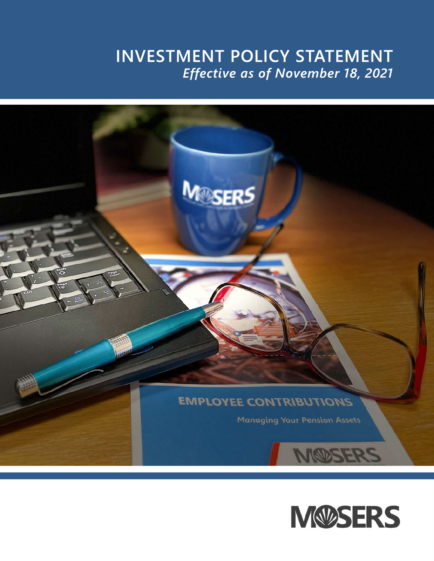# **INVESTMENT POLICY STATEMENT** *Effective as of November 18, 2021*



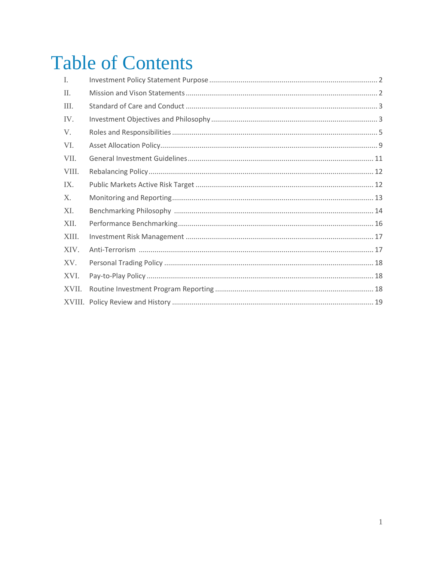# **Table of Contents**

| I.    |  |
|-------|--|
| Π.    |  |
| III.  |  |
| IV.   |  |
| V.    |  |
| VI.   |  |
| VII.  |  |
| VIII. |  |
| IX.   |  |
| X.    |  |
| XI.   |  |
| XII.  |  |
| XIII. |  |
| XIV.  |  |
| XV.   |  |
| XVI.  |  |
| XVII. |  |
|       |  |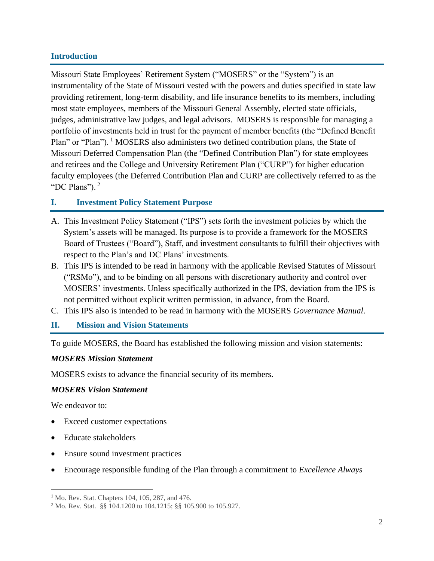#### **Introduction**

Missouri State Employees' Retirement System ("MOSERS" or the "System") is an instrumentality of the State of Missouri vested with the powers and duties specified in state law providing retirement, long-term disability, and life insurance benefits to its members, including most state employees, members of the Missouri General Assembly, elected state officials, judges, administrative law judges, and legal advisors. MOSERS is responsible for managing a portfolio of investments held in trust for the payment of member benefits (the "Defined Benefit Plan" or "Plan"). <sup>1</sup> MOSERS also administers two defined contribution plans, the State of Missouri Deferred Compensation Plan (the "Defined Contribution Plan") for state employees and retirees and the College and University Retirement Plan ("CURP") for higher education faculty employees (the Deferred Contribution Plan and CURP are collectively referred to as the "DC Plans"). <sup>2</sup>

#### **I. Investment Policy Statement Purpose**

- A. This Investment Policy Statement ("IPS") sets forth the investment policies by which the System's assets will be managed. Its purpose is to provide a framework for the MOSERS Board of Trustees ("Board"), Staff, and investment consultants to fulfill their objectives with respect to the Plan's and DC Plans' investments.
- B. This IPS is intended to be read in harmony with the applicable Revised Statutes of Missouri ("RSMo"), and to be binding on all persons with discretionary authority and control over MOSERS' investments. Unless specifically authorized in the IPS, deviation from the IPS is not permitted without explicit written permission, in advance, from the Board.
- C. This IPS also is intended to be read in harmony with the MOSERS *Governance Manual*.

#### **II. Mission and Vision Statements**

To guide MOSERS, the Board has established the following mission and vision statements:

#### *MOSERS Mission Statement*

MOSERS exists to advance the financial security of its members.

#### *MOSERS Vision Statement*

We endeavor to:

- Exceed customer expectations
- Educate stakeholders
- Ensure sound investment practices
- Encourage responsible funding of the Plan through a commitment to *Excellence Always*

<sup>1</sup> Mo. Rev. Stat. Chapters 104, 105, 287, and 476.

<sup>2</sup> Mo. Rev. Stat. §§ 104.1200 to 104.1215; §§ 105.900 to 105.927.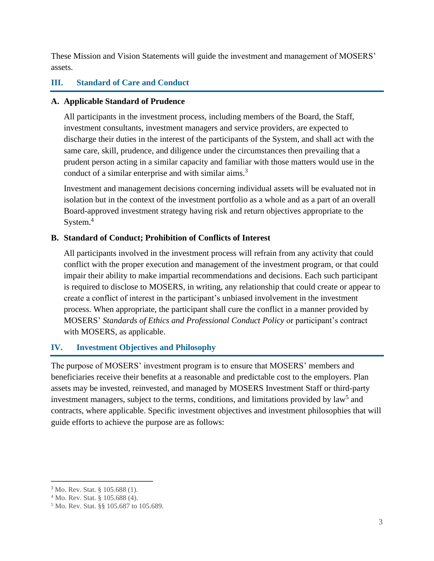These Mission and Vision Statements will guide the investment and management of MOSERS' assets.

# **III. Standard of Care and Conduct**

# **A. Applicable Standard of Prudence**

All participants in the investment process, including members of the Board, the Staff, investment consultants, investment managers and service providers, are expected to discharge their duties in the interest of the participants of the System, and shall act with the same care, skill, prudence, and diligence under the circumstances then prevailing that a prudent person acting in a similar capacity and familiar with those matters would use in the conduct of a similar enterprise and with similar aims.<sup>3</sup>

Investment and management decisions concerning individual assets will be evaluated not in isolation but in the context of the investment portfolio as a whole and as a part of an overall Board-approved investment strategy having risk and return objectives appropriate to the System.<sup>4</sup>

# **B. Standard of Conduct; Prohibition of Conflicts of Interest**

All participants involved in the investment process will refrain from any activity that could conflict with the proper execution and management of the investment program, or that could impair their ability to make impartial recommendations and decisions. Each such participant is required to disclose to MOSERS, in writing, any relationship that could create or appear to create a conflict of interest in the participant's unbiased involvement in the investment process. When appropriate, the participant shall cure the conflict in a manner provided by MOSERS' *Standards of Ethics and Professional Conduct Policy* or participant's contract with MOSERS, as applicable.

# **IV. Investment Objectives and Philosophy**

The purpose of MOSERS' investment program is to ensure that MOSERS' members and beneficiaries receive their benefits at a reasonable and predictable cost to the employers. Plan assets may be invested, reinvested, and managed by MOSERS Investment Staff or third-party investment managers, subject to the terms, conditions, and limitations provided by law<sup>5</sup> and contracts, where applicable. Specific investment objectives and investment philosophies that will guide efforts to achieve the purpose are as follows:

<sup>3</sup> Mo. Rev. Stat. § 105.688 (1).

<sup>4</sup> Mo. Rev. Stat. § 105.688 (4).

<sup>5</sup> Mo. Rev. Stat. §§ 105.687 to 105.689.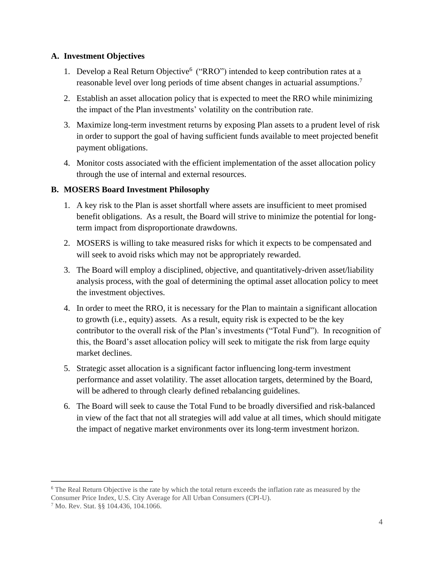#### **A. Investment Objectives**

- 1. Develop a Real Return Objective<sup>6</sup> ("RRO") intended to keep contribution rates at a reasonable level over long periods of time absent changes in actuarial assumptions.<sup>7</sup>
- 2. Establish an asset allocation policy that is expected to meet the RRO while minimizing the impact of the Plan investments' volatility on the contribution rate.
- 3. Maximize long-term investment returns by exposing Plan assets to a prudent level of risk in order to support the goal of having sufficient funds available to meet projected benefit payment obligations.
- 4. Monitor costs associated with the efficient implementation of the asset allocation policy through the use of internal and external resources.

#### **B. MOSERS Board Investment Philosophy**

- 1. A key risk to the Plan is asset shortfall where assets are insufficient to meet promised benefit obligations. As a result, the Board will strive to minimize the potential for longterm impact from disproportionate drawdowns.
- 2. MOSERS is willing to take measured risks for which it expects to be compensated and will seek to avoid risks which may not be appropriately rewarded.
- 3. The Board will employ a disciplined, objective, and quantitatively-driven asset/liability analysis process, with the goal of determining the optimal asset allocation policy to meet the investment objectives.
- 4. In order to meet the RRO, it is necessary for the Plan to maintain a significant allocation to growth (i.e., equity) assets. As a result, equity risk is expected to be the key contributor to the overall risk of the Plan's investments ("Total Fund"). In recognition of this, the Board's asset allocation policy will seek to mitigate the risk from large equity market declines.
- 5. Strategic asset allocation is a significant factor influencing long-term investment performance and asset volatility. The asset allocation targets, determined by the Board, will be adhered to through clearly defined rebalancing guidelines.
- 6. The Board will seek to cause the Total Fund to be broadly diversified and risk-balanced in view of the fact that not all strategies will add value at all times, which should mitigate the impact of negative market environments over its long-term investment horizon.

<sup>&</sup>lt;sup>6</sup> The Real Return Objective is the rate by which the total return exceeds the inflation rate as measured by the Consumer Price Index, U.S. City Average for All Urban Consumers (CPI-U).

<sup>7</sup> Mo. Rev. Stat. §§ 104.436, 104.1066.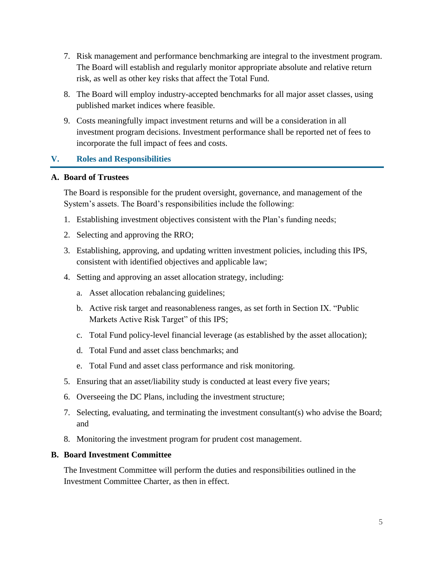- 7. Risk management and performance benchmarking are integral to the investment program. The Board will establish and regularly monitor appropriate absolute and relative return risk, as well as other key risks that affect the Total Fund.
- 8. The Board will employ industry-accepted benchmarks for all major asset classes, using published market indices where feasible.
- 9. Costs meaningfully impact investment returns and will be a consideration in all investment program decisions. Investment performance shall be reported net of fees to incorporate the full impact of fees and costs.

# **V. Roles and Responsibilities**

#### **A. Board of Trustees**

The Board is responsible for the prudent oversight, governance, and management of the System's assets. The Board's responsibilities include the following:

- 1. Establishing investment objectives consistent with the Plan's funding needs;
- 2. Selecting and approving the RRO;
- 3. Establishing, approving, and updating written investment policies, including this IPS, consistent with identified objectives and applicable law;
- 4. Setting and approving an asset allocation strategy, including:
	- a. Asset allocation rebalancing guidelines;
	- b. Active risk target and reasonableness ranges, as set forth in Section IX. "Public Markets Active Risk Target" of this IPS;
	- c. Total Fund policy-level financial leverage (as established by the asset allocation);
	- d. Total Fund and asset class benchmarks; and
	- e. Total Fund and asset class performance and risk monitoring.
- 5. Ensuring that an asset/liability study is conducted at least every five years;
- 6. Overseeing the DC Plans, including the investment structure;
- 7. Selecting, evaluating, and terminating the investment consultant(s) who advise the Board; and
- 8. Monitoring the investment program for prudent cost management.

#### **B. Board Investment Committee**

The Investment Committee will perform the duties and responsibilities outlined in the Investment Committee Charter, as then in effect.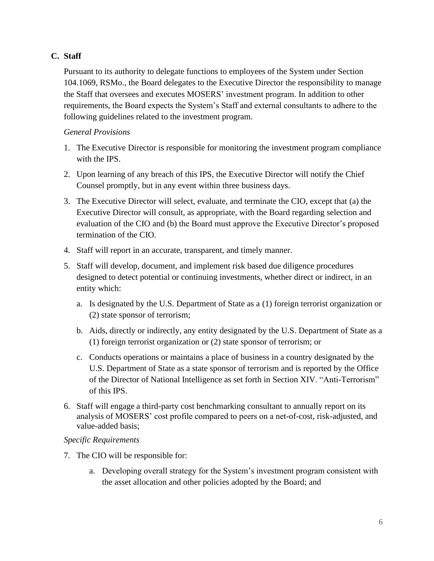# **C. Staff**

Pursuant to its authority to delegate functions to employees of the System under Section 104.1069, RSMo., the Board delegates to the Executive Director the responsibility to manage the Staff that oversees and executes MOSERS' investment program. In addition to other requirements, the Board expects the System's Staff and external consultants to adhere to the following guidelines related to the investment program.

# *General Provisions*

- 1. The Executive Director is responsible for monitoring the investment program compliance with the IPS.
- 2. Upon learning of any breach of this IPS, the Executive Director will notify the Chief Counsel promptly, but in any event within three business days.
- 3. The Executive Director will select, evaluate, and terminate the CIO, except that (a) the Executive Director will consult, as appropriate, with the Board regarding selection and evaluation of the CIO and (b) the Board must approve the Executive Director's proposed termination of the CIO.
- 4. Staff will report in an accurate, transparent, and timely manner.
- 5. Staff will develop, document, and implement risk based due diligence procedures designed to detect potential or continuing investments, whether direct or indirect, in an entity which:
	- a. Is designated by the U.S. Department of State as a (1) foreign terrorist organization or (2) state sponsor of terrorism;
	- b. Aids, directly or indirectly, any entity designated by the U.S. Department of State as a (1) foreign terrorist organization or (2) state sponsor of terrorism; or
	- c. Conducts operations or maintains a place of business in a country designated by the U.S. Department of State as a state sponsor of terrorism and is reported by the Office of the Director of National Intelligence as set forth in Section XIV. "Anti-Terrorism" of this IPS.
- 6. Staff will engage a third-party cost benchmarking consultant to annually report on its analysis of MOSERS' cost profile compared to peers on a net-of-cost, risk-adjusted, and value-added basis;

#### *Specific Requirements*

- 7. The CIO will be responsible for:
	- a. Developing overall strategy for the System's investment program consistent with the asset allocation and other policies adopted by the Board; and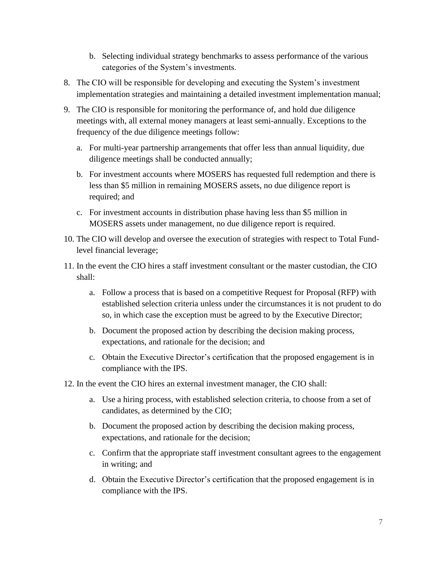- b. Selecting individual strategy benchmarks to assess performance of the various categories of the System's investments.
- 8. The CIO will be responsible for developing and executing the System's investment implementation strategies and maintaining a detailed investment implementation manual;
- 9. The CIO is responsible for monitoring the performance of, and hold due diligence meetings with, all external money managers at least semi-annually. Exceptions to the frequency of the due diligence meetings follow:
	- a. For multi-year partnership arrangements that offer less than annual liquidity, due diligence meetings shall be conducted annually;
	- b. For investment accounts where MOSERS has requested full redemption and there is less than \$5 million in remaining MOSERS assets, no due diligence report is required; and
	- c. For investment accounts in distribution phase having less than \$5 million in MOSERS assets under management, no due diligence report is required.
- 10. The CIO will develop and oversee the execution of strategies with respect to Total Fundlevel financial leverage;
- 11. In the event the CIO hires a staff investment consultant or the master custodian, the CIO shall:
	- a. Follow a process that is based on a competitive Request for Proposal (RFP) with established selection criteria unless under the circumstances it is not prudent to do so, in which case the exception must be agreed to by the Executive Director;
	- b. Document the proposed action by describing the decision making process, expectations, and rationale for the decision; and
	- c. Obtain the Executive Director's certification that the proposed engagement is in compliance with the IPS.
- 12. In the event the CIO hires an external investment manager, the CIO shall:
	- a. Use a hiring process, with established selection criteria, to choose from a set of candidates, as determined by the CIO;
	- b. Document the proposed action by describing the decision making process, expectations, and rationale for the decision;
	- c. Confirm that the appropriate staff investment consultant agrees to the engagement in writing; and
	- d. Obtain the Executive Director's certification that the proposed engagement is in compliance with the IPS.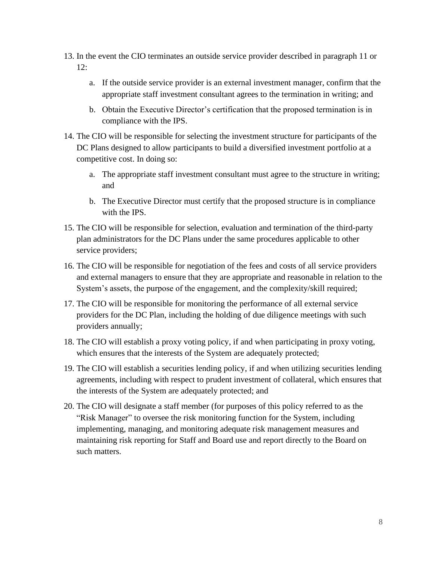- 13. In the event the CIO terminates an outside service provider described in paragraph 11 or 12:
	- a. If the outside service provider is an external investment manager, confirm that the appropriate staff investment consultant agrees to the termination in writing; and
	- b. Obtain the Executive Director's certification that the proposed termination is in compliance with the IPS.
- 14. The CIO will be responsible for selecting the investment structure for participants of the DC Plans designed to allow participants to build a diversified investment portfolio at a competitive cost. In doing so:
	- a. The appropriate staff investment consultant must agree to the structure in writing; and
	- b. The Executive Director must certify that the proposed structure is in compliance with the IPS.
- 15. The CIO will be responsible for selection, evaluation and termination of the third-party plan administrators for the DC Plans under the same procedures applicable to other service providers;
- 16. The CIO will be responsible for negotiation of the fees and costs of all service providers and external managers to ensure that they are appropriate and reasonable in relation to the System's assets, the purpose of the engagement, and the complexity/skill required;
- 17. The CIO will be responsible for monitoring the performance of all external service providers for the DC Plan, including the holding of due diligence meetings with such providers annually;
- 18. The CIO will establish a proxy voting policy, if and when participating in proxy voting, which ensures that the interests of the System are adequately protected;
- 19. The CIO will establish a securities lending policy, if and when utilizing securities lending agreements, including with respect to prudent investment of collateral, which ensures that the interests of the System are adequately protected; and
- 20. The CIO will designate a staff member (for purposes of this policy referred to as the "Risk Manager" to oversee the risk monitoring function for the System, including implementing, managing, and monitoring adequate risk management measures and maintaining risk reporting for Staff and Board use and report directly to the Board on such matters.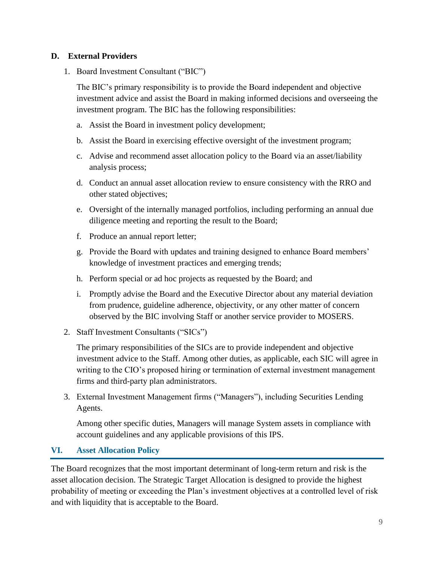#### **D. External Providers**

1. Board Investment Consultant ("BIC")

The BIC's primary responsibility is to provide the Board independent and objective investment advice and assist the Board in making informed decisions and overseeing the investment program. The BIC has the following responsibilities:

- a. Assist the Board in investment policy development;
- b. Assist the Board in exercising effective oversight of the investment program;
- c. Advise and recommend asset allocation policy to the Board via an asset/liability analysis process;
- d. Conduct an annual asset allocation review to ensure consistency with the RRO and other stated objectives;
- e. Oversight of the internally managed portfolios, including performing an annual due diligence meeting and reporting the result to the Board;
- f. Produce an annual report letter;
- g. Provide the Board with updates and training designed to enhance Board members' knowledge of investment practices and emerging trends;
- h. Perform special or ad hoc projects as requested by the Board; and
- i. Promptly advise the Board and the Executive Director about any material deviation from prudence, guideline adherence, objectivity, or any other matter of concern observed by the BIC involving Staff or another service provider to MOSERS.
- 2. Staff Investment Consultants ("SICs")

The primary responsibilities of the SICs are to provide independent and objective investment advice to the Staff. Among other duties, as applicable, each SIC will agree in writing to the CIO's proposed hiring or termination of external investment management firms and third-party plan administrators.

3. External Investment Management firms ("Managers"), including Securities Lending Agents.

Among other specific duties, Managers will manage System assets in compliance with account guidelines and any applicable provisions of this IPS.

#### **VI. Asset Allocation Policy**

The Board recognizes that the most important determinant of long-term return and risk is the asset allocation decision. The Strategic Target Allocation is designed to provide the highest probability of meeting or exceeding the Plan's investment objectives at a controlled level of risk and with liquidity that is acceptable to the Board.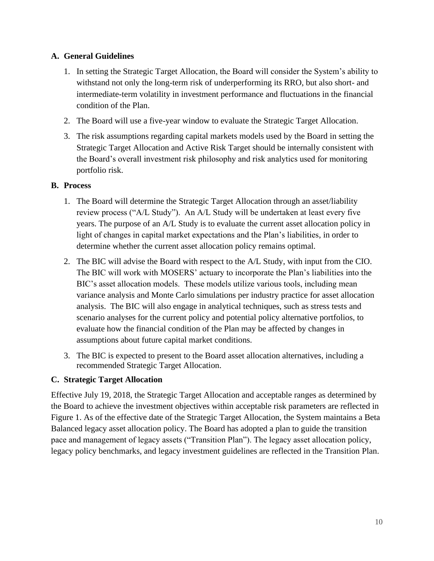#### **A. General Guidelines**

- 1. In setting the Strategic Target Allocation, the Board will consider the System's ability to withstand not only the long-term risk of underperforming its RRO, but also short- and intermediate-term volatility in investment performance and fluctuations in the financial condition of the Plan.
- 2. The Board will use a five-year window to evaluate the Strategic Target Allocation.
- 3. The risk assumptions regarding capital markets models used by the Board in setting the Strategic Target Allocation and Active Risk Target should be internally consistent with the Board's overall investment risk philosophy and risk analytics used for monitoring portfolio risk.

#### **B. Process**

- 1. The Board will determine the Strategic Target Allocation through an asset/liability review process ("A/L Study"). An A/L Study will be undertaken at least every five years. The purpose of an A/L Study is to evaluate the current asset allocation policy in light of changes in capital market expectations and the Plan's liabilities, in order to determine whether the current asset allocation policy remains optimal.
- 2. The BIC will advise the Board with respect to the A/L Study, with input from the CIO. The BIC will work with MOSERS' actuary to incorporate the Plan's liabilities into the BIC's asset allocation models. These models utilize various tools, including mean variance analysis and Monte Carlo simulations per industry practice for asset allocation analysis. The BIC will also engage in analytical techniques, such as stress tests and scenario analyses for the current policy and potential policy alternative portfolios, to evaluate how the financial condition of the Plan may be affected by changes in assumptions about future capital market conditions.
- 3. The BIC is expected to present to the Board asset allocation alternatives, including a recommended Strategic Target Allocation.

# **C. Strategic Target Allocation**

Effective July 19, 2018, the Strategic Target Allocation and acceptable ranges as determined by the Board to achieve the investment objectives within acceptable risk parameters are reflected in Figure 1. As of the effective date of the Strategic Target Allocation, the System maintains a Beta Balanced legacy asset allocation policy. The Board has adopted a plan to guide the transition pace and management of legacy assets ("Transition Plan"). The legacy asset allocation policy, legacy policy benchmarks, and legacy investment guidelines are reflected in the Transition Plan.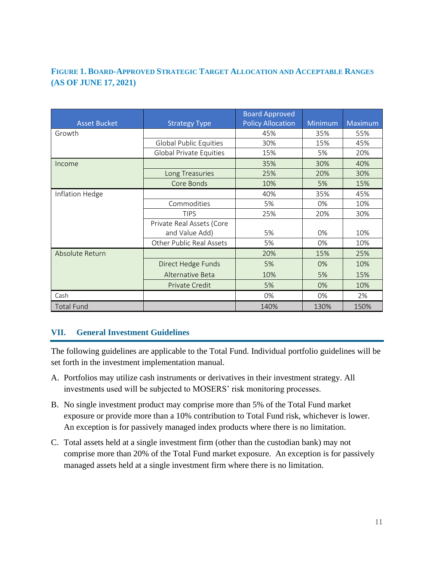# **FIGURE 1. BOARD-APPROVED STRATEGIC TARGET ALLOCATION AND ACCEPTABLE RANGES (AS OF JUNE 17, 2021)**

|                     |                                | <b>Board Approved</b>    |         |         |
|---------------------|--------------------------------|--------------------------|---------|---------|
| <b>Asset Bucket</b> | <b>Strategy Type</b>           | <b>Policy Allocation</b> | Minimum | Maximum |
| Growth              |                                | 45%                      | 35%     | 55%     |
|                     | <b>Global Public Equities</b>  | 30%                      | 15%     | 45%     |
|                     | <b>Global Private Equities</b> | 15%                      | 5%      | 20%     |
| Income              |                                | 35%                      | 30%     | 40%     |
|                     | Long Treasuries                | 25%                      | 20%     | 30%     |
|                     | Core Bonds                     | 10%                      | 5%      | 15%     |
| Inflation Hedge     |                                | 40%                      | 35%     | 45%     |
|                     | Commodities                    | 5%                       | 0%      | 10%     |
|                     | <b>TIPS</b>                    | 25%                      | 20%     | 30%     |
|                     | Private Real Assets (Core      |                          |         |         |
|                     | and Value Add)                 | 5%                       | 0%      | 10%     |
|                     | Other Public Real Assets       | 5%                       | 0%      | 10%     |
| Absolute Return     |                                | 20%                      | 15%     | 25%     |
|                     | Direct Hedge Funds             | 5%                       | 0%      | 10%     |
|                     | Alternative Beta               | 10%                      | 5%      | 15%     |
|                     | Private Credit                 | 5%                       | 0%      | 10%     |
| Cash                |                                | 0%                       | 0%      | 2%      |
| <b>Total Fund</b>   |                                | 140%                     | 130%    | 150%    |

# **VII. General Investment Guidelines**

The following guidelines are applicable to the Total Fund. Individual portfolio guidelines will be set forth in the investment implementation manual.

- A. Portfolios may utilize cash instruments or derivatives in their investment strategy. All investments used will be subjected to MOSERS' risk monitoring processes.
- B. No single investment product may comprise more than 5% of the Total Fund market exposure or provide more than a 10% contribution to Total Fund risk, whichever is lower. An exception is for passively managed index products where there is no limitation.
- C. Total assets held at a single investment firm (other than the custodian bank) may not comprise more than 20% of the Total Fund market exposure. An exception is for passively managed assets held at a single investment firm where there is no limitation.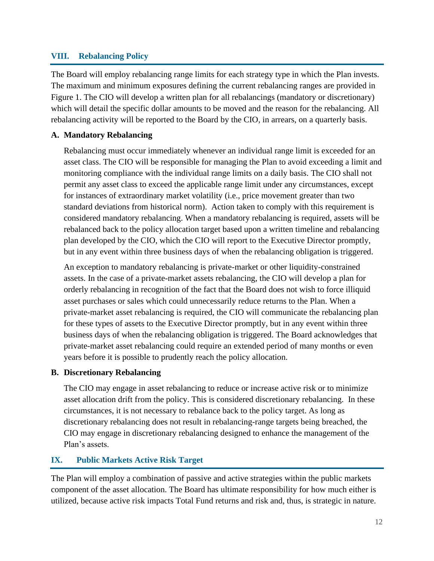#### **VIII. Rebalancing Policy**

The Board will employ rebalancing range limits for each strategy type in which the Plan invests. The maximum and minimum exposures defining the current rebalancing ranges are provided in Figure 1. The CIO will develop a written plan for all rebalancings (mandatory or discretionary) which will detail the specific dollar amounts to be moved and the reason for the rebalancing. All rebalancing activity will be reported to the Board by the CIO, in arrears, on a quarterly basis.

#### **A. Mandatory Rebalancing**

Rebalancing must occur immediately whenever an individual range limit is exceeded for an asset class. The CIO will be responsible for managing the Plan to avoid exceeding a limit and monitoring compliance with the individual range limits on a daily basis. The CIO shall not permit any asset class to exceed the applicable range limit under any circumstances, except for instances of extraordinary market volatility (i.e., price movement greater than two standard deviations from historical norm). Action taken to comply with this requirement is considered mandatory rebalancing. When a mandatory rebalancing is required, assets will be rebalanced back to the policy allocation target based upon a written timeline and rebalancing plan developed by the CIO, which the CIO will report to the Executive Director promptly, but in any event within three business days of when the rebalancing obligation is triggered.

An exception to mandatory rebalancing is private-market or other liquidity-constrained assets. In the case of a private-market assets rebalancing, the CIO will develop a plan for orderly rebalancing in recognition of the fact that the Board does not wish to force illiquid asset purchases or sales which could unnecessarily reduce returns to the Plan. When a private-market asset rebalancing is required, the CIO will communicate the rebalancing plan for these types of assets to the Executive Director promptly, but in any event within three business days of when the rebalancing obligation is triggered. The Board acknowledges that private-market asset rebalancing could require an extended period of many months or even years before it is possible to prudently reach the policy allocation.

#### **B. Discretionary Rebalancing**

The CIO may engage in asset rebalancing to reduce or increase active risk or to minimize asset allocation drift from the policy. This is considered discretionary rebalancing. In these circumstances, it is not necessary to rebalance back to the policy target. As long as discretionary rebalancing does not result in rebalancing-range targets being breached, the CIO may engage in discretionary rebalancing designed to enhance the management of the Plan's assets.

#### **IX. Public Markets Active Risk Target**

The Plan will employ a combination of passive and active strategies within the public markets component of the asset allocation. The Board has ultimate responsibility for how much either is utilized, because active risk impacts Total Fund returns and risk and, thus, is strategic in nature.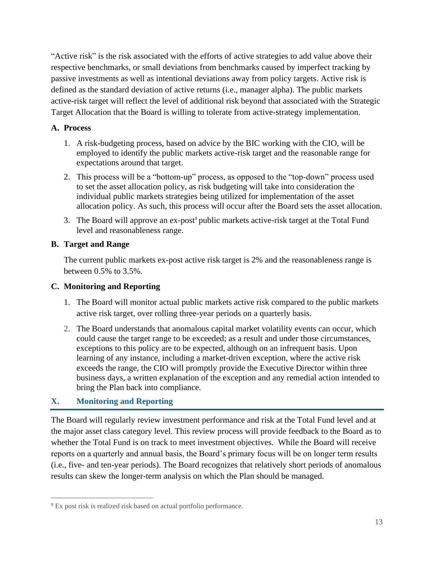"Active risk" is the risk associated with the efforts of active strategies to add value above their respective benchmarks, or small deviations from benchmarks caused by imperfect tracking by passive investments as well as intentional deviations away from policy targets. Active risk is defined as the standard deviation of active returns (i.e., manager alpha). The public markets active-risk target will reflect the level of additional risk beyond that associated with the Strategic Target Allocation that the Board is willing to tolerate from active-strategy implementation.

# **A. Process**

- 1. A risk-budgeting process, based on advice by the BIC working with the CIO, will be employed to identify the public markets active-risk target and the reasonable range for expectations around that target.
- 2. This process will be a "bottom-up" process, as opposed to the "top-down" process used to set the asset allocation policy, as risk budgeting will take into consideration the individual public markets strategies being utilized for implementation of the asset allocation policy. As such, this process will occur after the Board sets the asset allocation.
- 3. The Board will approve an ex-post<sup>8</sup> public markets active-risk target at the Total Fund level and reasonableness range.

# **B. Target and Range**

The current public markets ex-post active risk target is 2% and the reasonableness range is between 0.5% to 3.5%.

# **C. Monitoring and Reporting**

- 1. The Board will monitor actual public markets active risk compared to the public markets active risk target, over rolling three-year periods on a quarterly basis.
- 2. The Board understands that anomalous capital market volatility events can occur, which could cause the target range to be exceeded; as a result and under those circumstances, exceptions to this policy are to be expected, although on an infrequent basis. Upon learning of any instance, including a market-driven exception, where the active risk exceeds the range, the CIO will promptly provide the Executive Director within three business days, a written explanation of the exception and any remedial action intended to bring the Plan back into compliance.

# **X. Monitoring and Reporting**

The Board will regularly review investment performance and risk at the Total Fund level and at the major asset class category level. This review process will provide feedback to the Board as to whether the Total Fund is on track to meet investment objectives. While the Board will receive reports on a quarterly and annual basis, the Board's primary focus will be on longer term results (i.e., five- and ten-year periods). The Board recognizes that relatively short periods of anomalous results can skew the longer-term analysis on which the Plan should be managed.

<sup>8</sup> Ex post risk is realized risk based on actual portfolio performance.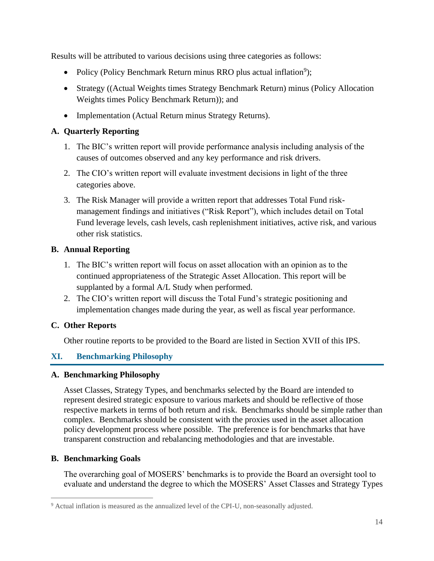Results will be attributed to various decisions using three categories as follows:

- Policy (Policy Benchmark Return minus RRO plus actual inflation<sup>9</sup>);
- Strategy ((Actual Weights times Strategy Benchmark Return) minus (Policy Allocation Weights times Policy Benchmark Return)); and
- Implementation (Actual Return minus Strategy Returns).

# **A. Quarterly Reporting**

- 1. The BIC's written report will provide performance analysis including analysis of the causes of outcomes observed and any key performance and risk drivers.
- 2. The CIO's written report will evaluate investment decisions in light of the three categories above.
- 3. The Risk Manager will provide a written report that addresses Total Fund riskmanagement findings and initiatives ("Risk Report"), which includes detail on Total Fund leverage levels, cash levels, cash replenishment initiatives, active risk, and various other risk statistics.

# **B. Annual Reporting**

- 1. The BIC's written report will focus on asset allocation with an opinion as to the continued appropriateness of the Strategic Asset Allocation. This report will be supplanted by a formal A/L Study when performed.
- 2. The CIO's written report will discuss the Total Fund's strategic positioning and implementation changes made during the year, as well as fiscal year performance.

#### **C. Other Reports**

Other routine reports to be provided to the Board are listed in Section XVII of this IPS.

# **XI. Benchmarking Philosophy**

#### **A. Benchmarking Philosophy**

Asset Classes, Strategy Types, and benchmarks selected by the Board are intended to represent desired strategic exposure to various markets and should be reflective of those respective markets in terms of both return and risk. Benchmarks should be simple rather than complex. Benchmarks should be consistent with the proxies used in the asset allocation policy development process where possible. The preference is for benchmarks that have transparent construction and rebalancing methodologies and that are investable.

#### **B. Benchmarking Goals**

The overarching goal of MOSERS' benchmarks is to provide the Board an oversight tool to evaluate and understand the degree to which the MOSERS' Asset Classes and Strategy Types

<sup>&</sup>lt;sup>9</sup> Actual inflation is measured as the annualized level of the CPI-U, non-seasonally adjusted.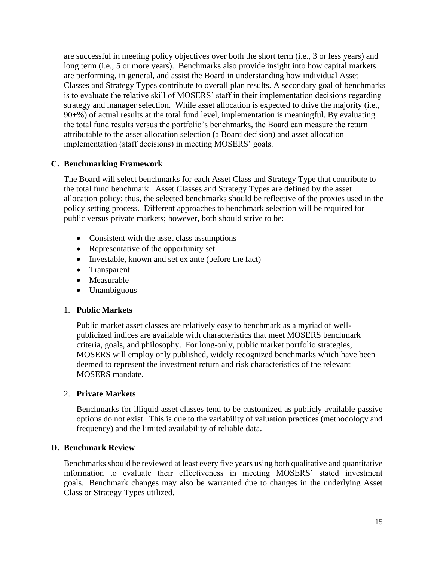are successful in meeting policy objectives over both the short term (i.e., 3 or less years) and long term (i.e., 5 or more years). Benchmarks also provide insight into how capital markets are performing, in general, and assist the Board in understanding how individual Asset Classes and Strategy Types contribute to overall plan results. A secondary goal of benchmarks is to evaluate the relative skill of MOSERS' staff in their implementation decisions regarding strategy and manager selection. While asset allocation is expected to drive the majority (i.e., 90+%) of actual results at the total fund level, implementation is meaningful. By evaluating the total fund results versus the portfolio's benchmarks, the Board can measure the return attributable to the asset allocation selection (a Board decision) and asset allocation implementation (staff decisions) in meeting MOSERS' goals.

# **C. Benchmarking Framework**

The Board will select benchmarks for each Asset Class and Strategy Type that contribute to the total fund benchmark. Asset Classes and Strategy Types are defined by the asset allocation policy; thus, the selected benchmarks should be reflective of the proxies used in the policy setting process. Different approaches to benchmark selection will be required for public versus private markets; however, both should strive to be:

- Consistent with the asset class assumptions
- Representative of the opportunity set
- Investable, known and set ex ante (before the fact)
- Transparent
- Measurable
- Unambiguous

#### 1. **Public Markets**

Public market asset classes are relatively easy to benchmark as a myriad of wellpublicized indices are available with characteristics that meet MOSERS benchmark criteria, goals, and philosophy. For long-only, public market portfolio strategies, MOSERS will employ only published, widely recognized benchmarks which have been deemed to represent the investment return and risk characteristics of the relevant MOSERS mandate.

#### 2. **Private Markets**

Benchmarks for illiquid asset classes tend to be customized as publicly available passive options do not exist. This is due to the variability of valuation practices (methodology and frequency) and the limited availability of reliable data.

#### **D. Benchmark Review**

Benchmarks should be reviewed at least every five years using both qualitative and quantitative information to evaluate their effectiveness in meeting MOSERS' stated investment goals. Benchmark changes may also be warranted due to changes in the underlying Asset Class or Strategy Types utilized.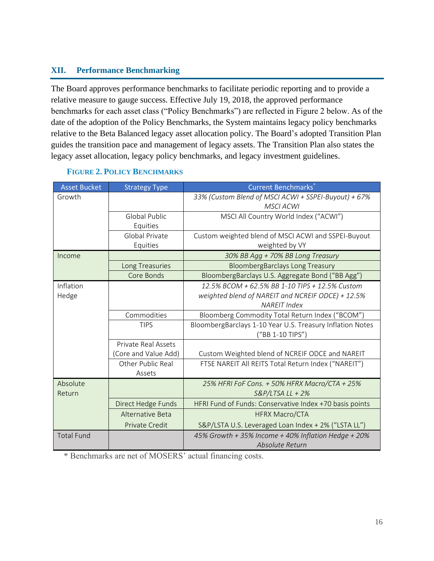#### **XII. Performance Benchmarking**

The Board approves performance benchmarks to facilitate periodic reporting and to provide a relative measure to gauge success. Effective July 19, 2018, the approved performance benchmarks for each asset class ("Policy Benchmarks") are reflected in Figure 2 below. As of the date of the adoption of the Policy Benchmarks, the System maintains legacy policy benchmarks relative to the Beta Balanced legacy asset allocation policy. The Board's adopted Transition Plan guides the transition pace and management of legacy assets. The Transition Plan also states the legacy asset allocation, legacy policy benchmarks, and legacy investment guidelines.

| <b>Asset Bucket</b> | <b>Strategy Type</b> | <b>Current Benchmarks</b> *                               |
|---------------------|----------------------|-----------------------------------------------------------|
| Growth              |                      | 33% (Custom Blend of MSCI ACWI + SSPEI-Buyout) + 67%      |
|                     |                      | <b>MSCI ACWI</b>                                          |
|                     | <b>Global Public</b> | MSCI All Country World Index ("ACWI")                     |
|                     | Equities             |                                                           |
|                     | Global Private       | Custom weighted blend of MSCI ACWI and SSPEI-Buyout       |
|                     | Equities             | weighted by VY                                            |
| Income              |                      | 30% BB Agg + 70% BB Long Treasury                         |
|                     | Long Treasuries      | <b>BloombergBarclays Long Treasury</b>                    |
|                     | Core Bonds           | BloombergBarclays U.S. Aggregate Bond ("BB Agg")          |
| Inflation           |                      | 12.5% BCOM + 62.5% BB 1-10 TIPS + 12.5% Custom            |
| Hedge               |                      | weighted blend of NAREIT and NCREIF ODCE) + 12.5%         |
|                     |                      | <b>NAREIT Index</b>                                       |
|                     | Commodities          | Bloomberg Commodity Total Return Index ("BCOM")           |
|                     | <b>TIPS</b>          | BloombergBarclays 1-10 Year U.S. Treasury Inflation Notes |
|                     |                      | ("BB 1-10 TIPS")                                          |
|                     | Private Real Assets  |                                                           |
|                     | (Core and Value Add) | Custom Weighted blend of NCREIF ODCE and NAREIT           |
|                     | Other Public Real    | FTSE NAREIT All REITS Total Return Index ("NAREIT")       |
|                     | Assets               |                                                           |
| Absolute            |                      | 25% HFRI FoF Cons. + 50% HFRX Macro/CTA + 25%             |
| Return              |                      | $S&P/LTSA LL + 2%$                                        |
|                     | Direct Hedge Funds   | HFRI Fund of Funds: Conservative Index +70 basis points   |
|                     | Alternative Beta     | <b>HFRX Macro/CTA</b>                                     |
|                     | Private Credit       | S&P/LSTA U.S. Leveraged Loan Index + 2% ("LSTA LL")       |
| <b>Total Fund</b>   |                      | 45% Growth + 35% Income + 40% Inflation Hedge + 20%       |
|                     |                      | Absolute Return                                           |

#### **FIGURE 2. POLICY BENCHMARKS**

\* Benchmarks are net of MOSERS' actual financing costs.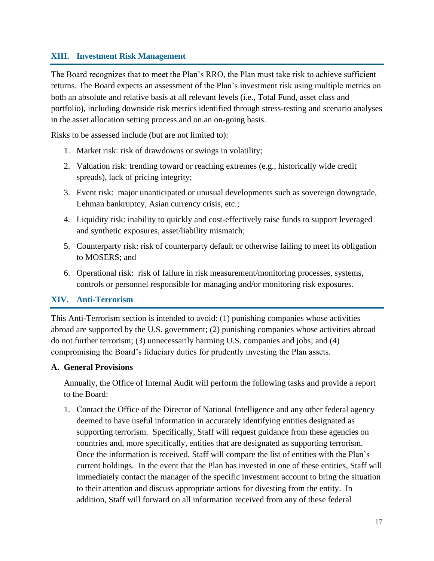#### **XIII. Investment Risk Management**

The Board recognizes that to meet the Plan's RRO, the Plan must take risk to achieve sufficient returns. The Board expects an assessment of the Plan's investment risk using multiple metrics on both an absolute and relative basis at all relevant levels (i.e., Total Fund, asset class and portfolio), including downside risk metrics identified through stress-testing and scenario analyses in the asset allocation setting process and on an on-going basis.

Risks to be assessed include (but are not limited to):

- 1. Market risk: risk of drawdowns or swings in volatility;
- 2. Valuation risk: trending toward or reaching extremes (e.g., historically wide credit spreads), lack of pricing integrity;
- 3. Event risk: major unanticipated or unusual developments such as sovereign downgrade, Lehman bankruptcy, Asian currency crisis, etc.;
- 4. Liquidity risk: inability to quickly and cost-effectively raise funds to support leveraged and synthetic exposures, asset/liability mismatch;
- 5. Counterparty risk: risk of counterparty default or otherwise failing to meet its obligation to MOSERS; and
- 6. Operational risk: risk of failure in risk measurement/monitoring processes, systems, controls or personnel responsible for managing and/or monitoring risk exposures.

#### **XIV. Anti-Terrorism**

This Anti-Terrorism section is intended to avoid: (1) punishing companies whose activities abroad are supported by the U.S. government; (2) punishing companies whose activities abroad do not further terrorism; (3) unnecessarily harming U.S. companies and jobs; and (4) compromising the Board's fiduciary duties for prudently investing the Plan assets.

#### **A. General Provisions**

Annually, the Office of Internal Audit will perform the following tasks and provide a report to the Board:

1. Contact the Office of the Director of National Intelligence and any other federal agency deemed to have useful information in accurately identifying entities designated as supporting terrorism. Specifically, Staff will request guidance from these agencies on countries and, more specifically, entities that are designated as supporting terrorism. Once the information is received, Staff will compare the list of entities with the Plan's current holdings. In the event that the Plan has invested in one of these entities, Staff will immediately contact the manager of the specific investment account to bring the situation to their attention and discuss appropriate actions for divesting from the entity. In addition, Staff will forward on all information received from any of these federal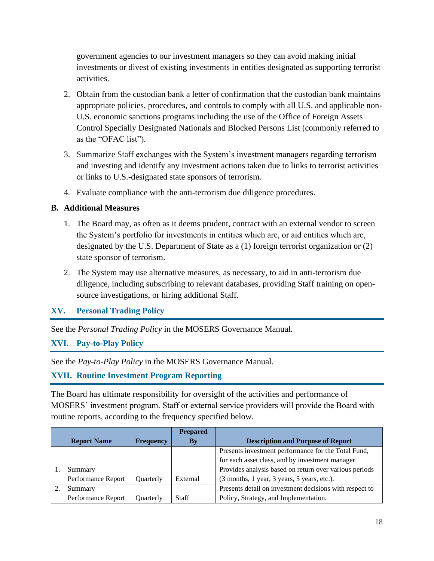government agencies to our investment managers so they can avoid making initial investments or divest of existing investments in entities designated as supporting terrorist activities.

- 2. Obtain from the custodian bank a letter of confirmation that the custodian bank maintains appropriate policies, procedures, and controls to comply with all U.S. and applicable non-U.S. economic sanctions programs including the use of the Office of Foreign Assets Control Specially Designated Nationals and Blocked Persons List (commonly referred to as the "OFAC list").
- 3. Summarize Staff exchanges with the System's investment managers regarding terrorism and investing and identify any investment actions taken due to links to terrorist activities or links to U.S.-designated state sponsors of terrorism.
- 4. Evaluate compliance with the anti-terrorism due diligence procedures.

#### **B. Additional Measures**

- 1. The Board may, as often as it deems prudent, contract with an external vendor to screen the System's portfolio for investments in entities which are, or aid entities which are, designated by the U.S. Department of State as a (1) foreign terrorist organization or (2) state sponsor of terrorism.
- 2. The System may use alternative measures, as necessary, to aid in anti-terrorism due diligence, including subscribing to relevant databases, providing Staff training on opensource investigations, or hiring additional Staff.

#### **XV. Personal Trading Policy**

See the *Personal Trading Policy* in the MOSERS Governance Manual.

#### **XVI. Pay-to-Play Policy**

See the *Pay-to-Play Policy* in the MOSERS Governance Manual.

#### **XVII. Routine Investment Program Reporting**

The Board has ultimate responsibility for oversight of the activities and performance of MOSERS' investment program. Staff or external service providers will provide the Board with routine reports, according to the frequency specified below.

|                    |                  | <b>Prepared</b> |                                                         |
|--------------------|------------------|-----------------|---------------------------------------------------------|
| <b>Report Name</b> | <b>Frequency</b> | <b>By</b>       | <b>Description and Purpose of Report</b>                |
|                    |                  |                 | Presents investment performance for the Total Fund,     |
|                    |                  |                 | for each asset class, and by investment manager.        |
| Summary            |                  |                 | Provides analysis based on return over various periods  |
| Performance Report | Quarterly        | External        | (3 months, 1 year, 3 years, 5 years, etc.).             |
| Summary            |                  |                 | Presents detail on investment decisions with respect to |
| Performance Report | Quarterly        | Staff           | Policy, Strategy, and Implementation.                   |